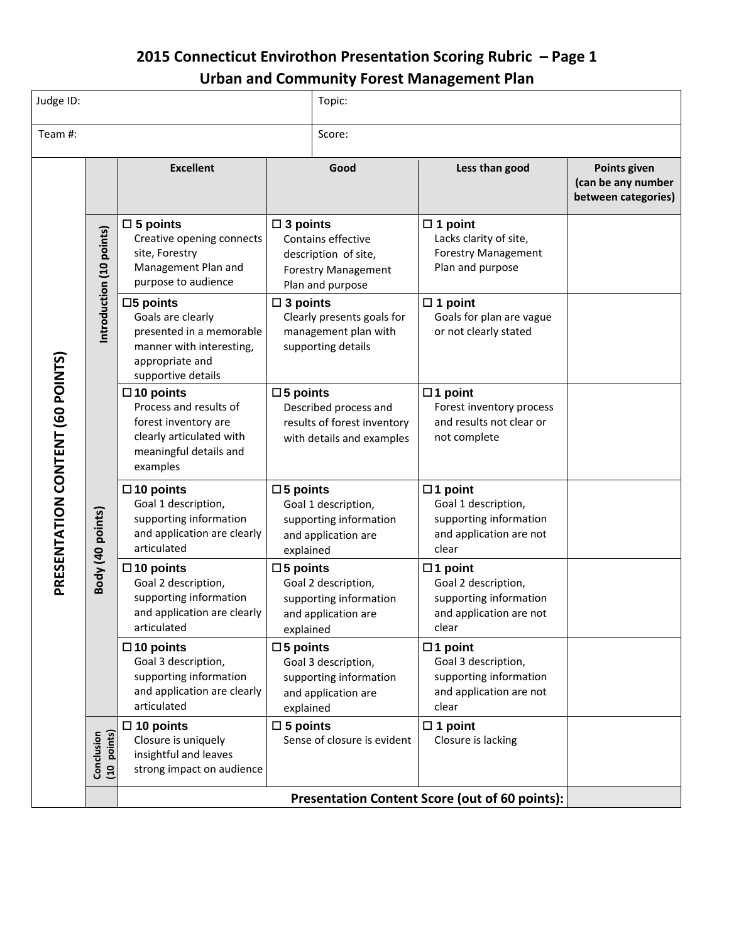## **2015 Connecticut Envirothon Presentation Scoring Rubric – Page 1 Urban and Community Forest Management Plan**

| Judge ID:                        |                           |                                                                                                                                          |                                                                                                         | Topic:                                                                                       |                                                                                                     |                                                           |  |  |
|----------------------------------|---------------------------|------------------------------------------------------------------------------------------------------------------------------------------|---------------------------------------------------------------------------------------------------------|----------------------------------------------------------------------------------------------|-----------------------------------------------------------------------------------------------------|-----------------------------------------------------------|--|--|
| Team #:                          |                           |                                                                                                                                          |                                                                                                         | Score:                                                                                       |                                                                                                     |                                                           |  |  |
| PRESENTATION CONTENT (60 POINTS) |                           | <b>Excellent</b>                                                                                                                         |                                                                                                         | Good                                                                                         | Less than good                                                                                      | Points given<br>(can be any number<br>between categories) |  |  |
|                                  | Introduction (10 points)  | $\square$ 5 points<br>Creative opening connects<br>site, Forestry<br>Management Plan and<br>purpose to audience                          | $\square$ 3 points                                                                                      | Contains effective<br>description of site,<br><b>Forestry Management</b><br>Plan and purpose | $\Box$ 1 point<br>Lacks clarity of site,<br><b>Forestry Management</b><br>Plan and purpose          |                                                           |  |  |
|                                  |                           | $\square$ 5 points<br>Goals are clearly<br>presented in a memorable<br>manner with interesting,<br>appropriate and<br>supportive details | $\square$ 3 points<br>Clearly presents goals for<br>management plan with<br>supporting details          |                                                                                              | $\Box$ 1 point<br>Goals for plan are vague<br>or not clearly stated                                 |                                                           |  |  |
|                                  | Body (40 points)          | $\square$ 10 points<br>Process and results of<br>forest inventory are<br>clearly articulated with<br>meaningful details and<br>examples  | $\square$ 5 points<br>Described process and<br>results of forest inventory<br>with details and examples |                                                                                              | $\Box$ 1 point<br>Forest inventory process<br>and results not clear or<br>not complete              |                                                           |  |  |
|                                  |                           | $\square$ 10 points<br>Goal 1 description,<br>supporting information<br>and application are clearly<br>articulated                       | $\square$ 5 points<br>explained                                                                         | Goal 1 description,<br>supporting information<br>and application are                         | $\Box$ 1 point<br>Goal 1 description,<br>supporting information<br>and application are not<br>clear |                                                           |  |  |
|                                  |                           | $\square$ 10 points<br>Goal 2 description,<br>supporting information<br>and application are clearly<br>articulated                       | $\square$ 5 points<br>explained                                                                         | Goal 2 description,<br>supporting information<br>and application are                         | $\Box$ 1 point<br>Goal 2 description,<br>supporting information<br>and application are not<br>clear |                                                           |  |  |
|                                  |                           | $\square$ 10 points<br>Goal 3 description,<br>supporting information<br>and application are clearly<br>articulated                       | $\square$ 5 points<br>explained                                                                         | Goal 3 description,<br>supporting information<br>and application are                         | $\Box$ 1 point<br>Goal 3 description,<br>supporting information<br>and application are not<br>clear |                                                           |  |  |
|                                  | (10 points)<br>Conclusion | $\square$ 10 points<br>Closure is uniquely<br>insightful and leaves<br>strong impact on audience                                         | $\square$ 5 points                                                                                      | Sense of closure is evident                                                                  | $\Box$ 1 point<br>Closure is lacking                                                                |                                                           |  |  |
|                                  |                           | Presentation Content Score (out of 60 points):                                                                                           |                                                                                                         |                                                                                              |                                                                                                     |                                                           |  |  |